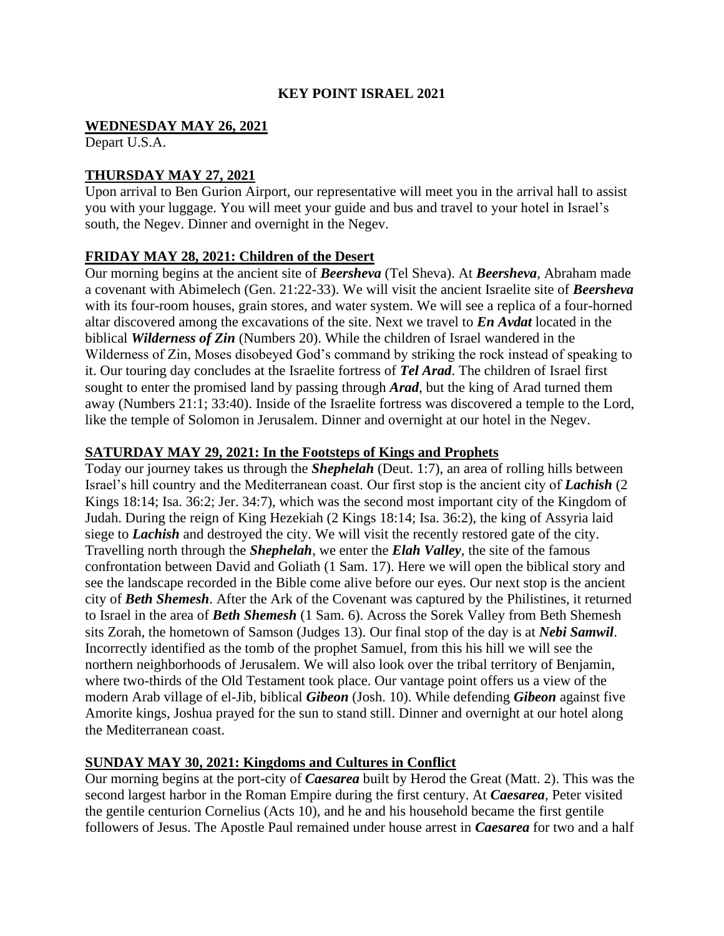#### **KEY POINT ISRAEL 2021**

#### **WEDNESDAY MAY 26, 2021**

Depart U.S.A.

## **THURSDAY MAY 27, 2021**

Upon arrival to Ben Gurion Airport, our representative will meet you in the arrival hall to assist you with your luggage. You will meet your guide and bus and travel to your hotel in Israel's south, the Negev. Dinner and overnight in the Negev.

### **FRIDAY MAY 28, 2021: Children of the Desert**

Our morning begins at the ancient site of *Beersheva* (Tel Sheva). At *Beersheva*, Abraham made a covenant with Abimelech (Gen. 21:22-33). We will visit the ancient Israelite site of *Beersheva*  with its four-room houses, grain stores, and water system. We will see a replica of a four-horned altar discovered among the excavations of the site. Next we travel to *En Avdat* located in the biblical *Wilderness of Zin* (Numbers 20). While the children of Israel wandered in the Wilderness of Zin, Moses disobeyed God's command by striking the rock instead of speaking to it. Our touring day concludes at the Israelite fortress of *Tel Arad*. The children of Israel first sought to enter the promised land by passing through *Arad*, but the king of Arad turned them away (Numbers 21:1; 33:40). Inside of the Israelite fortress was discovered a temple to the Lord, like the temple of Solomon in Jerusalem. Dinner and overnight at our hotel in the Negev.

### **SATURDAY MAY 29, 2021: In the Footsteps of Kings and Prophets**

Today our journey takes us through the *Shephelah* (Deut. 1:7), an area of rolling hills between Israel's hill country and the Mediterranean coast. Our first stop is the ancient city of *Lachish* (2 Kings 18:14; Isa. 36:2; Jer. 34:7), which was the second most important city of the Kingdom of Judah. During the reign of King Hezekiah (2 Kings 18:14; Isa. 36:2), the king of Assyria laid siege to *Lachish* and destroyed the city. We will visit the recently restored gate of the city. Travelling north through the *Shephelah*, we enter the *Elah Valley*, the site of the famous confrontation between David and Goliath (1 Sam. 17). Here we will open the biblical story and see the landscape recorded in the Bible come alive before our eyes. Our next stop is the ancient city of *Beth Shemesh*. After the Ark of the Covenant was captured by the Philistines, it returned to Israel in the area of *Beth Shemesh* (1 Sam. 6). Across the Sorek Valley from Beth Shemesh sits Zorah, the hometown of Samson (Judges 13). Our final stop of the day is at *Nebi Samwil*. Incorrectly identified as the tomb of the prophet Samuel, from this his hill we will see the northern neighborhoods of Jerusalem. We will also look over the tribal territory of Benjamin, where two-thirds of the Old Testament took place. Our vantage point offers us a view of the modern Arab village of el-Jib, biblical *Gibeon* (Josh. 10). While defending *Gibeon* against five Amorite kings, Joshua prayed for the sun to stand still. Dinner and overnight at our hotel along the Mediterranean coast.

# **SUNDAY MAY 30, 2021: Kingdoms and Cultures in Conflict**

Our morning begins at the port-city of *Caesarea* built by Herod the Great (Matt. 2). This was the second largest harbor in the Roman Empire during the first century. At *Caesarea*, Peter visited the gentile centurion Cornelius (Acts 10), and he and his household became the first gentile followers of Jesus. The Apostle Paul remained under house arrest in *Caesarea* for two and a half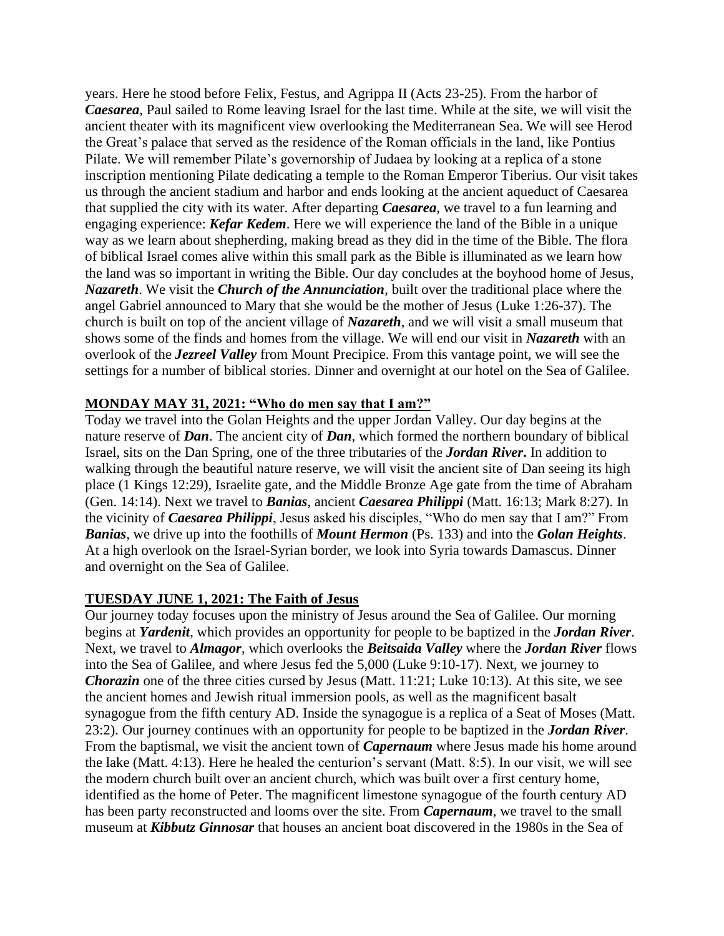years. Here he stood before Felix, Festus, and Agrippa II (Acts 23-25). From the harbor of *Caesarea*, Paul sailed to Rome leaving Israel for the last time. While at the site, we will visit the ancient theater with its magnificent view overlooking the Mediterranean Sea. We will see Herod the Great's palace that served as the residence of the Roman officials in the land, like Pontius Pilate. We will remember Pilate's governorship of Judaea by looking at a replica of a stone inscription mentioning Pilate dedicating a temple to the Roman Emperor Tiberius. Our visit takes us through the ancient stadium and harbor and ends looking at the ancient aqueduct of Caesarea that supplied the city with its water. After departing *Caesarea*, we travel to a fun learning and engaging experience: *Kefar Kedem*. Here we will experience the land of the Bible in a unique way as we learn about shepherding, making bread as they did in the time of the Bible. The flora of biblical Israel comes alive within this small park as the Bible is illuminated as we learn how the land was so important in writing the Bible. Our day concludes at the boyhood home of Jesus, *Nazareth*. We visit the *Church of the Annunciation*, built over the traditional place where the angel Gabriel announced to Mary that she would be the mother of Jesus (Luke 1:26-37). The church is built on top of the ancient village of *Nazareth*, and we will visit a small museum that shows some of the finds and homes from the village. We will end our visit in *Nazareth* with an overlook of the *Jezreel Valley* from Mount Precipice. From this vantage point, we will see the settings for a number of biblical stories. Dinner and overnight at our hotel on the Sea of Galilee.

### **MONDAY MAY 31, 2021: "Who do men say that I am?"**

Today we travel into the Golan Heights and the upper Jordan Valley. Our day begins at the nature reserve of *Dan*. The ancient city of *Dan*, which formed the northern boundary of biblical Israel, sits on the Dan Spring, one of the three tributaries of the *Jordan River***.** In addition to walking through the beautiful nature reserve, we will visit the ancient site of Dan seeing its high place (1 Kings 12:29), Israelite gate, and the Middle Bronze Age gate from the time of Abraham (Gen. 14:14). Next we travel to *Banias*, ancient *Caesarea Philippi* (Matt. 16:13; Mark 8:27). In the vicinity of *Caesarea Philippi*, Jesus asked his disciples, "Who do men say that I am?" From *Banias*, we drive up into the foothills of *Mount Hermon* (Ps. 133) and into the *Golan Heights*. At a high overlook on the Israel-Syrian border, we look into Syria towards Damascus. Dinner and overnight on the Sea of Galilee.

#### **TUESDAY JUNE 1, 2021: The Faith of Jesus**

Our journey today focuses upon the ministry of Jesus around the Sea of Galilee. Our morning begins at *Yardenit*, which provides an opportunity for people to be baptized in the *Jordan River*. Next, we travel to *Almagor*, which overlooks the *Beitsaida Valley* where the *Jordan River* flows into the Sea of Galilee, and where Jesus fed the 5,000 (Luke 9:10-17). Next, we journey to *Chorazin* one of the three cities cursed by Jesus (Matt. 11:21; Luke 10:13). At this site, we see the ancient homes and Jewish ritual immersion pools, as well as the magnificent basalt synagogue from the fifth century AD. Inside the synagogue is a replica of a Seat of Moses (Matt. 23:2). Our journey continues with an opportunity for people to be baptized in the *Jordan River*. From the baptismal, we visit the ancient town of *Capernaum* where Jesus made his home around the lake (Matt. 4:13). Here he healed the centurion's servant (Matt. 8:5). In our visit, we will see the modern church built over an ancient church, which was built over a first century home, identified as the home of Peter. The magnificent limestone synagogue of the fourth century AD has been party reconstructed and looms over the site. From *Capernaum*, we travel to the small museum at *Kibbutz Ginnosar* that houses an ancient boat discovered in the 1980s in the Sea of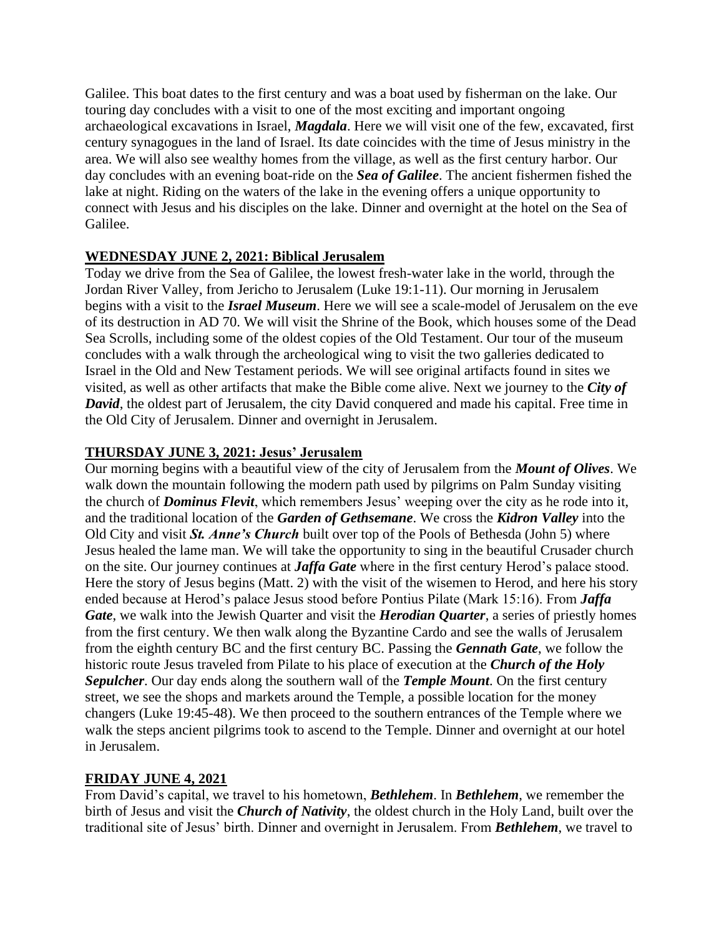Galilee. This boat dates to the first century and was a boat used by fisherman on the lake. Our touring day concludes with a visit to one of the most exciting and important ongoing archaeological excavations in Israel, *Magdala*. Here we will visit one of the few, excavated, first century synagogues in the land of Israel. Its date coincides with the time of Jesus ministry in the area. We will also see wealthy homes from the village, as well as the first century harbor. Our day concludes with an evening boat-ride on the *Sea of Galilee*. The ancient fishermen fished the lake at night. Riding on the waters of the lake in the evening offers a unique opportunity to connect with Jesus and his disciples on the lake. Dinner and overnight at the hotel on the Sea of Galilee.

# **WEDNESDAY JUNE 2, 2021: Biblical Jerusalem**

Today we drive from the Sea of Galilee, the lowest fresh-water lake in the world, through the Jordan River Valley, from Jericho to Jerusalem (Luke 19:1-11). Our morning in Jerusalem begins with a visit to the *Israel Museum*. Here we will see a scale-model of Jerusalem on the eve of its destruction in AD 70. We will visit the Shrine of the Book, which houses some of the Dead Sea Scrolls, including some of the oldest copies of the Old Testament. Our tour of the museum concludes with a walk through the archeological wing to visit the two galleries dedicated to Israel in the Old and New Testament periods. We will see original artifacts found in sites we visited, as well as other artifacts that make the Bible come alive. Next we journey to the *City of David*, the oldest part of Jerusalem, the city David conquered and made his capital. Free time in the Old City of Jerusalem. Dinner and overnight in Jerusalem.

# **THURSDAY JUNE 3, 2021: Jesus' Jerusalem**

Our morning begins with a beautiful view of the city of Jerusalem from the *Mount of Olives*. We walk down the mountain following the modern path used by pilgrims on Palm Sunday visiting the church of *Dominus Flevit*, which remembers Jesus' weeping over the city as he rode into it, and the traditional location of the *Garden of Gethsemane*. We cross the *Kidron Valley* into the Old City and visit *St. Anne's Church* built over top of the Pools of Bethesda (John 5) where Jesus healed the lame man. We will take the opportunity to sing in the beautiful Crusader church on the site. Our journey continues at *Jaffa Gate* where in the first century Herod's palace stood. Here the story of Jesus begins (Matt. 2) with the visit of the wisemen to Herod, and here his story ended because at Herod's palace Jesus stood before Pontius Pilate (Mark 15:16). From *Jaffa Gate*, we walk into the Jewish Quarter and visit the *Herodian Quarter*, a series of priestly homes from the first century. We then walk along the Byzantine Cardo and see the walls of Jerusalem from the eighth century BC and the first century BC. Passing the *Gennath Gate*, we follow the historic route Jesus traveled from Pilate to his place of execution at the *Church of the Holy Sepulcher*. Our day ends along the southern wall of the *Temple Mount*. On the first century street, we see the shops and markets around the Temple, a possible location for the money changers (Luke 19:45-48). We then proceed to the southern entrances of the Temple where we walk the steps ancient pilgrims took to ascend to the Temple. Dinner and overnight at our hotel in Jerusalem.

# **FRIDAY JUNE 4, 2021**

From David's capital, we travel to his hometown, *Bethlehem*. In *Bethlehem*, we remember the birth of Jesus and visit the *Church of Nativity*, the oldest church in the Holy Land, built over the traditional site of Jesus' birth. Dinner and overnight in Jerusalem. From *Bethlehem*, we travel to